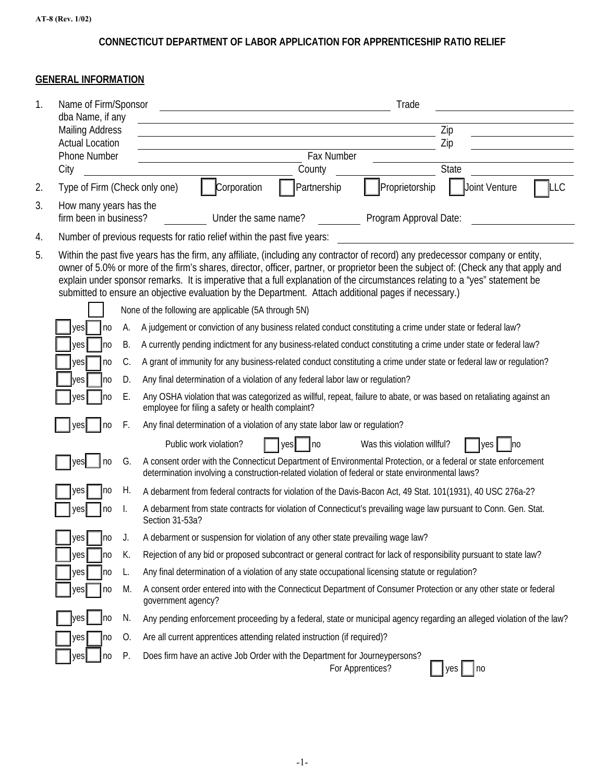## **CONNECTICUT DEPARTMENT OF LABOR APPLICATION FOR APPRENTICESHIP RATIO RELIEF**

## **GENERAL INFORMATION**

| 1. | Name of Firm/Sponsor                             |                                                                                                                                                                                                                                                                                                                                                                                                                                                                                                                   | Trade                                                                                                                                                                                                              |                      |                             |                                                                                                                       |  |  |
|----|--------------------------------------------------|-------------------------------------------------------------------------------------------------------------------------------------------------------------------------------------------------------------------------------------------------------------------------------------------------------------------------------------------------------------------------------------------------------------------------------------------------------------------------------------------------------------------|--------------------------------------------------------------------------------------------------------------------------------------------------------------------------------------------------------------------|----------------------|-----------------------------|-----------------------------------------------------------------------------------------------------------------------|--|--|
|    | dba Name, if any<br><b>Mailing Address</b>       |                                                                                                                                                                                                                                                                                                                                                                                                                                                                                                                   |                                                                                                                                                                                                                    |                      |                             | Zip                                                                                                                   |  |  |
|    | <b>Actual Location</b>                           |                                                                                                                                                                                                                                                                                                                                                                                                                                                                                                                   |                                                                                                                                                                                                                    |                      |                             | Zip                                                                                                                   |  |  |
|    | <b>Phone Number</b>                              |                                                                                                                                                                                                                                                                                                                                                                                                                                                                                                                   |                                                                                                                                                                                                                    | Fax Number           |                             |                                                                                                                       |  |  |
|    | City                                             |                                                                                                                                                                                                                                                                                                                                                                                                                                                                                                                   |                                                                                                                                                                                                                    | County               |                             | State                                                                                                                 |  |  |
| 2. | Type of Firm (Check only one)                    |                                                                                                                                                                                                                                                                                                                                                                                                                                                                                                                   | Corporation                                                                                                                                                                                                        | Partnership          | Proprietorship              | Joint Venture<br>LLC                                                                                                  |  |  |
| 3. | How many years has the<br>firm been in business? |                                                                                                                                                                                                                                                                                                                                                                                                                                                                                                                   |                                                                                                                                                                                                                    | Under the same name? | Program Approval Date:      |                                                                                                                       |  |  |
| 4. |                                                  |                                                                                                                                                                                                                                                                                                                                                                                                                                                                                                                   | Number of previous requests for ratio relief within the past five years:                                                                                                                                           |                      |                             |                                                                                                                       |  |  |
| 5. |                                                  | Within the past five years has the firm, any affiliate, (including any contractor of record) any predecessor company or entity,<br>owner of 5.0% or more of the firm's shares, director, officer, partner, or proprietor been the subject of: (Check any that apply and<br>explain under sponsor remarks. It is imperative that a full explanation of the circumstances relating to a "yes" statement be<br>submitted to ensure an objective evaluation by the Department. Attach additional pages if necessary.) |                                                                                                                                                                                                                    |                      |                             |                                                                                                                       |  |  |
|    |                                                  |                                                                                                                                                                                                                                                                                                                                                                                                                                                                                                                   | None of the following are applicable (5A through 5N)                                                                                                                                                               |                      |                             |                                                                                                                       |  |  |
|    |                                                  | A judgement or conviction of any business related conduct constituting a crime under state or federal law?<br>yes<br>n <sub>0</sub><br>А.                                                                                                                                                                                                                                                                                                                                                                         |                                                                                                                                                                                                                    |                      |                             |                                                                                                                       |  |  |
|    |                                                  | В.<br>A currently pending indictment for any business-related conduct constituting a crime under state or federal law?<br>ves<br> no<br>A grant of immunity for any business-related conduct constituting a crime under state or federal law or regulation?<br>C.<br>yes                                                                                                                                                                                                                                          |                                                                                                                                                                                                                    |                      |                             |                                                                                                                       |  |  |
|    |                                                  | n <sub>0</sub><br>Any final determination of a violation of any federal labor law or regulation?<br>D.<br> no                                                                                                                                                                                                                                                                                                                                                                                                     |                                                                                                                                                                                                                    |                      |                             |                                                                                                                       |  |  |
|    | ves                                              | Ε.<br>Any OSHA violation that was categorized as willful, repeat, failure to abate, or was based on retaliating against an<br>Ino<br>employee for filing a safety or health complaint?                                                                                                                                                                                                                                                                                                                            |                                                                                                                                                                                                                    |                      |                             |                                                                                                                       |  |  |
|    | yes                                              |                                                                                                                                                                                                                                                                                                                                                                                                                                                                                                                   |                                                                                                                                                                                                                    |                      |                             |                                                                                                                       |  |  |
|    | ves<br>n <sub>0</sub>                            | F.<br>Any final determination of a violation of any state labor law or regulation?                                                                                                                                                                                                                                                                                                                                                                                                                                |                                                                                                                                                                                                                    |                      |                             |                                                                                                                       |  |  |
|    |                                                  |                                                                                                                                                                                                                                                                                                                                                                                                                                                                                                                   | Public work violation?                                                                                                                                                                                             | no<br>yes            | Was this violation willful? | yes<br>Ino                                                                                                            |  |  |
|    | vesl<br>no                                       | G.                                                                                                                                                                                                                                                                                                                                                                                                                                                                                                                | A consent order with the Connecticut Department of Environmental Protection, or a federal or state enforcement<br>determination involving a construction-related violation of federal or state environmental laws? |                      |                             |                                                                                                                       |  |  |
|    | yes<br>no                                        | Н.<br>A debarment from federal contracts for violation of the Davis-Bacon Act, 49 Stat. 101(1931), 40 USC 276a-2?                                                                                                                                                                                                                                                                                                                                                                                                 |                                                                                                                                                                                                                    |                      |                             |                                                                                                                       |  |  |
|    | yes<br>no                                        | A debarment from state contracts for violation of Connecticut's prevailing wage law pursuant to Conn. Gen. Stat.<br>I.<br>Section 31-53a?<br>A debarment or suspension for violation of any other state prevailing wage law?<br>yes<br> no<br>К.<br>Rejection of any bid or proposed subcontract or general contract for lack of responsibility pursuant to state law?<br>yes<br>Ino                                                                                                                              |                                                                                                                                                                                                                    |                      |                             |                                                                                                                       |  |  |
|    |                                                  |                                                                                                                                                                                                                                                                                                                                                                                                                                                                                                                   |                                                                                                                                                                                                                    |                      |                             |                                                                                                                       |  |  |
|    |                                                  |                                                                                                                                                                                                                                                                                                                                                                                                                                                                                                                   |                                                                                                                                                                                                                    |                      |                             |                                                                                                                       |  |  |
|    | yes<br> no                                       | L.                                                                                                                                                                                                                                                                                                                                                                                                                                                                                                                | Any final determination of a violation of any state occupational licensing statute or regulation?                                                                                                                  |                      |                             |                                                                                                                       |  |  |
|    | yes<br>no                                        | M.                                                                                                                                                                                                                                                                                                                                                                                                                                                                                                                | government agency?                                                                                                                                                                                                 |                      |                             | A consent order entered into with the Connecticut Department of Consumer Protection or any other state or federal     |  |  |
|    | yesl<br>n <sub>0</sub>                           | N.                                                                                                                                                                                                                                                                                                                                                                                                                                                                                                                |                                                                                                                                                                                                                    |                      |                             | Any pending enforcement proceeding by a federal, state or municipal agency regarding an alleged violation of the law? |  |  |
|    | yes<br>no                                        | 0.                                                                                                                                                                                                                                                                                                                                                                                                                                                                                                                | Are all current apprentices attending related instruction (if required)?                                                                                                                                           |                      |                             |                                                                                                                       |  |  |
|    | n <sub>0</sub><br>yes                            | Ρ.                                                                                                                                                                                                                                                                                                                                                                                                                                                                                                                | Does firm have an active Job Order with the Department for Journeypersons?                                                                                                                                         |                      | For Apprentices?            | yes<br> no                                                                                                            |  |  |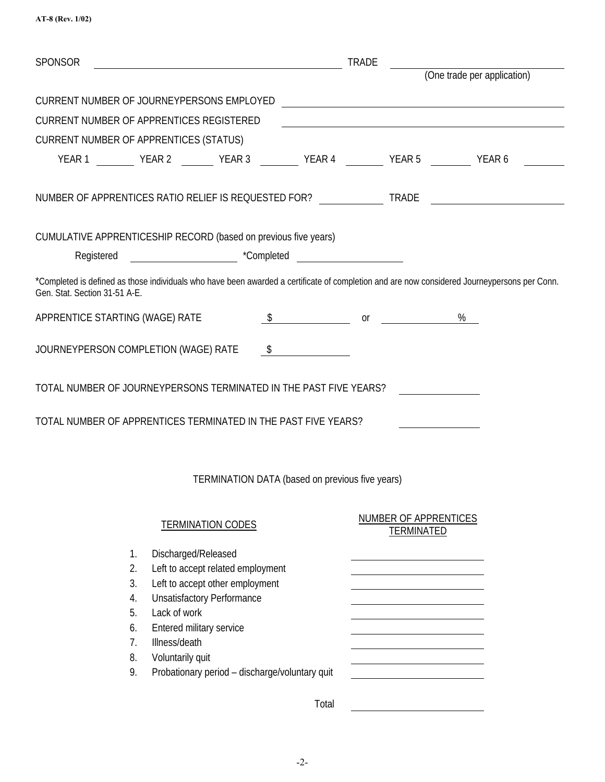| AT-8 (Rev. 1/02) |  |
|------------------|--|
|------------------|--|

| <b>SPONSOR</b>                                                    |                                                                                                                                                                                                                                                                     |                                                 | <b>TRADE</b>                                    |                                                   |                                                                                                                                              |
|-------------------------------------------------------------------|---------------------------------------------------------------------------------------------------------------------------------------------------------------------------------------------------------------------------------------------------------------------|-------------------------------------------------|-------------------------------------------------|---------------------------------------------------|----------------------------------------------------------------------------------------------------------------------------------------------|
|                                                                   |                                                                                                                                                                                                                                                                     |                                                 |                                                 |                                                   | (One trade per application)                                                                                                                  |
| CURRENT NUMBER OF JOURNEYPERSONS EMPLOYED                         |                                                                                                                                                                                                                                                                     |                                                 |                                                 |                                                   | <u> 1989 - Johann Harry Harry Harry Harry Harry Harry Harry Harry Harry Harry Harry Harry Harry Harry Harry Harry</u>                        |
| <b>CURRENT NUMBER OF APPRENTICES REGISTERED</b>                   |                                                                                                                                                                                                                                                                     |                                                 |                                                 |                                                   |                                                                                                                                              |
| CURRENT NUMBER OF APPRENTICES (STATUS)                            |                                                                                                                                                                                                                                                                     |                                                 |                                                 |                                                   |                                                                                                                                              |
|                                                                   |                                                                                                                                                                                                                                                                     |                                                 |                                                 |                                                   |                                                                                                                                              |
| NUMBER OF APPRENTICES RATIO RELIEF IS REQUESTED FOR? TRADE        |                                                                                                                                                                                                                                                                     |                                                 |                                                 |                                                   |                                                                                                                                              |
| CUMULATIVE APPRENTICESHIP RECORD (based on previous five years)   |                                                                                                                                                                                                                                                                     |                                                 |                                                 |                                                   |                                                                                                                                              |
|                                                                   | Registered <b>Example 10</b> Tompleted <b>Completed</b>                                                                                                                                                                                                             |                                                 |                                                 |                                                   |                                                                                                                                              |
| Gen. Stat. Section 31-51 A-E.                                     |                                                                                                                                                                                                                                                                     |                                                 |                                                 |                                                   | *Completed is defined as those individuals who have been awarded a certificate of completion and are now considered Journeypersons per Conn. |
| APPRENTICE STARTING (WAGE) RATE                                   |                                                                                                                                                                                                                                                                     |                                                 | $\frac{1}{2}$ or $\frac{1}{2}$ or $\frac{1}{2}$ |                                                   | %                                                                                                                                            |
| JOURNEYPERSON COMPLETION (WAGE) RATE                              |                                                                                                                                                                                                                                                                     | $\sim$                                          |                                                 |                                                   |                                                                                                                                              |
| TOTAL NUMBER OF JOURNEYPERSONS TERMINATED IN THE PAST FIVE YEARS? |                                                                                                                                                                                                                                                                     |                                                 |                                                 |                                                   |                                                                                                                                              |
| TOTAL NUMBER OF APPRENTICES TERMINATED IN THE PAST FIVE YEARS?    |                                                                                                                                                                                                                                                                     |                                                 |                                                 |                                                   |                                                                                                                                              |
|                                                                   |                                                                                                                                                                                                                                                                     | TERMINATION DATA (based on previous five years) |                                                 |                                                   |                                                                                                                                              |
|                                                                   | <b>TERMINATION CODES</b>                                                                                                                                                                                                                                            |                                                 |                                                 | <b>NUMBER OF APPRENTICES</b><br><b>TERMINATED</b> |                                                                                                                                              |
| 1.<br>2.<br>3.<br>4.<br>5.<br>6.<br>7 <sub>1</sub><br>8.<br>9.    | Discharged/Released<br>Left to accept related employment<br>Left to accept other employment<br><b>Unsatisfactory Performance</b><br>Lack of work<br>Entered military service<br>Illness/death<br>Voluntarily quit<br>Probationary period - discharge/voluntary quit |                                                 |                                                 |                                                   |                                                                                                                                              |
|                                                                   |                                                                                                                                                                                                                                                                     |                                                 | Total                                           |                                                   |                                                                                                                                              |